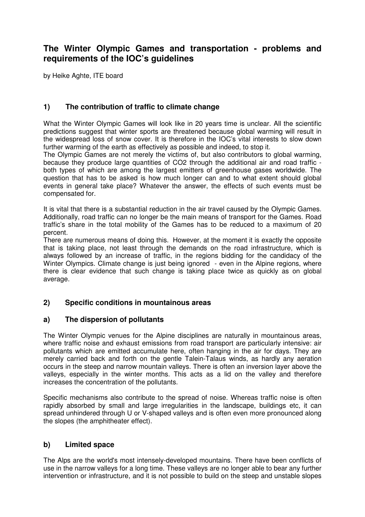# **The Winter Olympic Games and transportation - problems and requirements of the IOC's guidelines**

by Heike Aghte, ITE board

## **1) The contribution of traffic to climate change**

What the Winter Olympic Games will look like in 20 years time is unclear. All the scientific predictions suggest that winter sports are threatened because global warming will result in the widespread loss of snow cover. It is therefore in the IOC's vital interests to slow down further warming of the earth as effectively as possible and indeed, to stop it.

The Olympic Games are not merely the victims of, but also contributors to global warming, because they produce large quantities of CO2 through the additional air and road traffic both types of which are among the largest emitters of greenhouse gases worldwide. The question that has to be asked is how much longer can and to what extent should global events in general take place? Whatever the answer, the effects of such events must be compensated for.

It is vital that there is a substantial reduction in the air travel caused by the Olympic Games. Additionally, road traffic can no longer be the main means of transport for the Games. Road traffic's share in the total mobility of the Games has to be reduced to a maximum of 20 percent.

There are numerous means of doing this. However, at the moment it is exactly the opposite that is taking place, not least through the demands on the road infrastructure, which is always followed by an increase of traffic, in the regions bidding for the candidacy of the Winter Olympics. Climate change is just being ignored - even in the Alpine regions, where there is clear evidence that such change is taking place twice as quickly as on global average.

#### **2) Specific conditions in mountainous areas**

#### **a) The dispersion of pollutants**

The Winter Olympic venues for the Alpine disciplines are naturally in mountainous areas, where traffic noise and exhaust emissions from road transport are particularly intensive: air pollutants which are emitted accumulate here, often hanging in the air for days. They are merely carried back and forth on the gentle Talein-Talaus winds, as hardly any aeration occurs in the steep and narrow mountain valleys. There is often an inversion layer above the valleys, especially in the winter months. This acts as a lid on the valley and therefore increases the concentration of the pollutants.

Specific mechanisms also contribute to the spread of noise. Whereas traffic noise is often rapidly absorbed by small and large irregularities in the landscape, buildings etc, it can spread unhindered through U or V-shaped valleys and is often even more pronounced along the slopes (the amphitheater effect).

#### **b) Limited space**

The Alps are the world's most intensely-developed mountains. There have been conflicts of use in the narrow valleys for a long time. These valleys are no longer able to bear any further intervention or infrastructure, and it is not possible to build on the steep and unstable slopes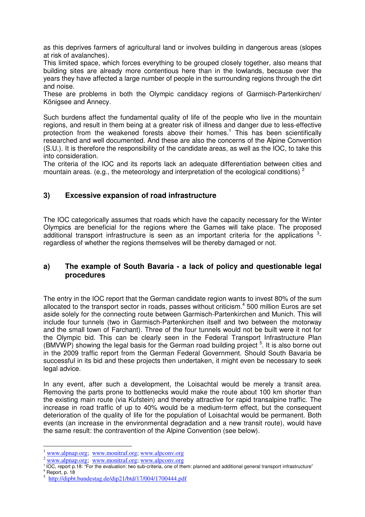as this deprives farmers of agricultural land or involves building in dangerous areas (slopes at risk of avalanches).

This limited space, which forces everything to be grouped closely together, also means that building sites are already more contentious here than in the lowlands, because over the years they have affected a large number of people in the surrounding regions through the dirt and noise.

These are problems in both the Olympic candidacy regions of Garmisch-Partenkirchen/ Königsee and Annecy.

Such burdens affect the fundamental quality of life of the people who live in the mountain regions, and result in them being at a greater risk of illness and danger due to less-effective protection from the weakened forests above their homes.<sup>1</sup> This has been scientifically researched and well documented. And these are also the concerns of the Alpine Convention (S.U.). It is therefore the responsibility of the candidate areas, as well as the IOC, to take this into consideration.

The criteria of the IOC and its reports lack an adequate differentiation between cities and mountain areas. (e.g., the meteorology and interpretation of the ecological conditions)<sup>2</sup>

### **3) Excessive expansion of road infrastructure**

The IOC categorically assumes that roads which have the capacity necessary for the Winter Olympics are beneficial for the regions where the Games will take place. The proposed additional transport infrastructure is seen as an important criteria for the applications  $3$ regardless of whether the regions themselves will be thereby damaged or not.

#### **a) The example of South Bavaria - a lack of policy and questionable legal procedures**

The entry in the IOC report that the German candidate region wants to invest 80% of the sum allocated to the transport sector in roads, passes without criticism. $4$  500 million Euros are set aside solely for the connecting route between Garmisch-Partenkirchen and Munich. This will include four tunnels (two in Garmisch-Partenkirchen itself and two between the motorway and the small town of Farchant). Three of the four tunnels would not be built were it not for the Olympic bid. This can be clearly seen in the Federal Transport Infrastructure Plan  $(BMVWP)$  showing the legal basis for the German road building project  $5$ . It is also borne out in the 2009 traffic report from the German Federal Government. Should South Bavaria be successful in its bid and these projects then undertaken, it might even be necessary to seek legal advice.

In any event, after such a development, the Loisachtal would be merely a transit area. Removing the parts prone to bottlenecks would make the route about 100 km shorter than the existing main route (via Kufstein) and thereby attractive for rapid transalpine traffic. The increase in road traffic of up to 40% would be a medium-term effect, but the consequent deterioration of the quality of life for the population of Loisachtal would be permanent. Both events (an increase in the environmental degradation and a new transit route), would have the same result: the contravention of the Alpine Convention (see below).

 $\overline{a}$ 

 $\frac{1}{2}$  www.alpnap.org; www.monitraf.org; www.alpconv.org

<sup>&</sup>lt;sup>2</sup> www.alpnap.org; www.monitraf.org; www.alpconv.org<br><sup>3</sup> IOC, report p.18: "For the evaluation: two sub-criteria, one of them: planned and additional general transport infrastructure"<br><sup>4</sup> Penert, p. 19 Report, p. 18 5

http://dipbt.bundestag.de/dip21/btd/17/004/1700444.pdf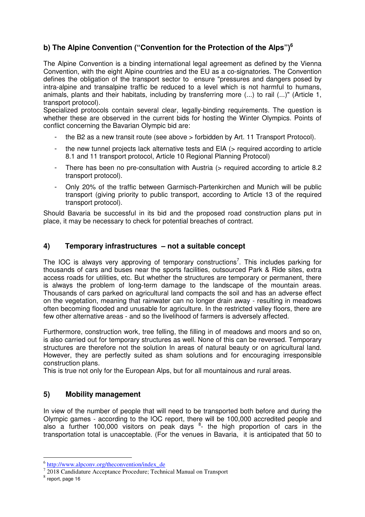# **b) The Alpine Convention ("Convention for the Protection of the Alps")<sup>6</sup>**

The Alpine Convention is a binding international legal agreement as defined by the Vienna Convention, with the eight Alpine countries and the EU as a co-signatories. The Convention defines the obligation of the transport sector to ensure "pressures and dangers posed by intra-alpine and transalpine traffic be reduced to a level which is not harmful to humans, animals, plants and their habitats, including by transferring more (...) to rail (...)" (Article 1, transport protocol).

Specialized protocols contain several clear, legally-binding requirements. The question is whether these are observed in the current bids for hosting the Winter Olympics. Points of conflict concerning the Bavarian Olympic bid are:

- the B2 as a new transit route (see above > forbidden by Art. 11 Transport Protocol).
- the new tunnel projects lack alternative tests and EIA (> required according to article 8.1 and 11 transport protocol, Article 10 Regional Planning Protocol)
- There has been no pre-consultation with Austria (> required according to article 8.2 transport protocol).
- Only 20% of the traffic between Garmisch-Partenkirchen and Munich will be public transport (giving priority to public transport, according to Article 13 of the required transport protocol).

Should Bavaria be successful in its bid and the proposed road construction plans put in place, it may be necessary to check for potential breaches of contract.

### **4) Temporary infrastructures – not a suitable concept**

The IOC is always very approving of temporary constructions<sup>7</sup>. This includes parking for thousands of cars and buses near the sports facilities, outsourced Park & Ride sites, extra access roads for utilities, etc. But whether the structures are temporary or permanent, there is always the problem of long-term damage to the landscape of the mountain areas. Thousands of cars parked on agricultural land compacts the soil and has an adverse effect on the vegetation, meaning that rainwater can no longer drain away - resulting in meadows often becoming flooded and unusable for agriculture. In the restricted valley floors, there are few other alternative areas - and so the livelihood of farmers is adversely affected.

Furthermore, construction work, tree felling, the filling in of meadows and moors and so on, is also carried out for temporary structures as well. None of this can be reversed. Temporary structures are therefore not the solution In areas of natural beauty or on agricultural land. However, they are perfectly suited as sham solutions and for encouraging irresponsible construction plans.

This is true not only for the European Alps, but for all mountainous and rural areas.

#### **5) Mobility management**

In view of the number of people that will need to be transported both before and during the Olympic games - according to the IOC report, there will be 100,000 accredited people and also a further 100,000 visitors on peak days  $8$ - the high proportion of cars in the transportation total is unacceptable. (For the venues in Bavaria, it is anticipated that 50 to

<sup>&</sup>lt;sup>6</sup> http://www.alpconv.org/theconvention/index\_de

<sup>&</sup>lt;sup>7</sup> 2018 Candidature Acceptance Procedure; Technical Manual on Transport

 $<sup>8</sup>$  report, page 16</sup>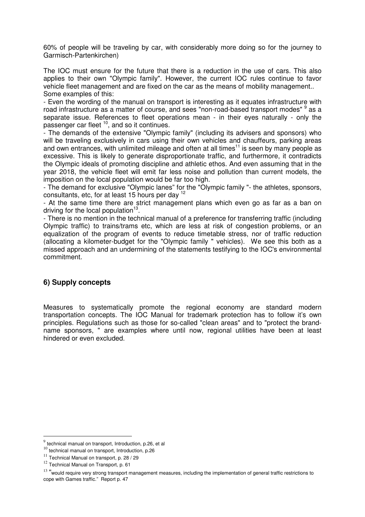60% of people will be traveling by car, with considerably more doing so for the journey to Garmisch-Partenkirchen)

The IOC must ensure for the future that there is a reduction in the use of cars. This also applies to their own "Olympic family". However, the current IOC rules continue to favor vehicle fleet management and are fixed on the car as the means of mobility management.. Some examples of this:

- Even the wording of the manual on transport is interesting as it equates infrastructure with road infrastructure as a matter of course, and sees "non-road-based transport modes" <sup>9</sup> as a separate issue. References to fleet operations mean - in their eyes naturally - only the passenger car fleet <sup>10</sup>, and so it continues.

- The demands of the extensive "Olympic family" (including its advisers and sponsors) who will be traveling exclusively in cars using their own vehicles and chauffeurs, parking areas and own entrances, with unlimited mileage and often at all times<sup>11</sup> is seen by many people as excessive. This is likely to generate disproportionate traffic, and furthermore, it contradicts the Olympic ideals of promoting discipline and athletic ethos. And even assuming that in the year 2018, the vehicle fleet will emit far less noise and pollution than current models, the imposition on the local population would be far too high.

- The demand for exclusive "Olympic lanes" for the "Olympic family "- the athletes, sponsors, consultants, etc, for at least 15 hours per day <sup>12</sup>

- At the same time there are strict management plans which even go as far as a ban on driving for the local population $13$ .

- There is no mention in the technical manual of a preference for transferring traffic (including Olympic traffic) to trains/trams etc, which are less at risk of congestion problems, or an equalization of the program of events to reduce timetable stress, nor of traffic reduction (allocating a kilometer-budget for the "Olympic family " vehicles). We see this both as a missed approach and an undermining of the statements testifying to the IOC's environmental commitment.

## **6) Supply concepts**

Measures to systematically promote the regional economy are standard modern transportation concepts. The IOC Manual for trademark protection has to follow it's own principles. Regulations such as those for so-called "clean areas" and to "protect the brandname sponsors, " are examples where until now, regional utilities have been at least hindered or even excluded.

 $\overline{a}$ 

 $9$  technical manual on transport, Introduction, p.26, et al

 $^{10}$  technical manual on transport, Introduction, p.26

<sup>&</sup>lt;sup>11</sup> Technical Manual on transport, p. 28 / 29

 $12$  Technical Manual on Transport, p. 61

<sup>&</sup>lt;sup>13</sup> "would require very strong transport management measures, including the implementation of general traffic restrictions to cope with Games traffic." Report p. 47